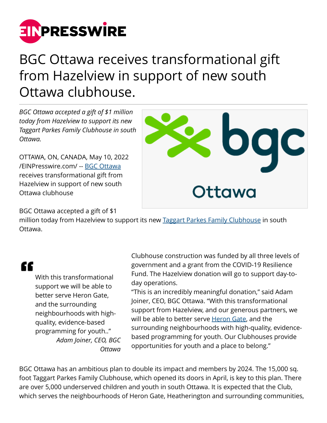

## BGC Ottawa receives transformational gift from Hazelview in support of new south Ottawa clubhouse.

*BGC Ottawa accepted a gift of \$1 million today from Hazelview to support its new Taggart Parkes Family Clubhouse in south Ottawa.*

OTTAWA, ON, CANADA, May 10, 2022 [/EINPresswire.com/](http://www.einpresswire.com) -- [BGC Ottawa](https://www.bgcottawa.org/) receives transformational gift from Hazelview in support of new south Ottawa clubhouse



BGC Ottawa accepted a gift of \$1

million today from Hazelview to support its new [Taggart Parkes Family Clubhouse](https://www.bgcottawa.org/locations/taggart-parkes-family-clubhouse/) in south Ottawa.

## "

With this transformational support we will be able to better serve Heron Gate, and the surrounding neighbourhoods with highquality, evidence-based programming for youth.." *Adam Joiner, CEO, BGC Ottawa*

Clubhouse construction was funded by all three levels of government and a grant from the COVID-19 Resilience Fund. The Hazelview donation will go to support day-today operations.

"This is an incredibly meaningful donation," said Adam Joiner, CEO, BGC Ottawa. "With this transformational support from Hazelview, and our generous partners, we will be able to better serve [Heron Gate,](https://herongatecommunity.com/social-framework/) and the surrounding neighbourhoods with high-quality, evidencebased programming for youth. Our Clubhouses provide opportunities for youth and a place to belong."

BGC Ottawa has an ambitious plan to double its impact and members by 2024. The 15,000 sq. foot Taggart Parkes Family Clubhouse, which opened its doors in April, is key to this plan. There are over 5,000 underserved children and youth in south Ottawa. It is expected that the Club, which serves the neighbourhoods of Heron Gate, Heatherington and surrounding communities,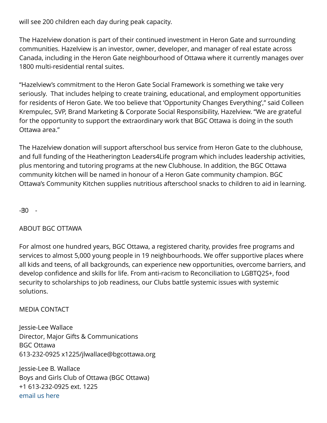will see 200 children each day during peak capacity.

The Hazelview donation is part of their continued investment in Heron Gate and surrounding communities. Hazelview is an investor, owner, developer, and manager of real estate across Canada, including in the Heron Gate neighbourhood of Ottawa where it currently manages over 1800 multi-residential rental suites.

"Hazelview's commitment to the Heron Gate Social Framework is something we take very seriously. That includes helping to create training, educational, and employment opportunities for residents of Heron Gate. We too believe that 'Opportunity Changes Everything'," said Colleen Krempulec, SVP, Brand Marketing & Corporate Social Responsibility, Hazelview. "We are grateful for the opportunity to support the extraordinary work that BGC Ottawa is doing in the south Ottawa area."

The Hazelview donation will support afterschool bus service from Heron Gate to the clubhouse, and full funding of the Heatherington Leaders4Life program which includes leadership activities, plus mentoring and tutoring programs at the new Clubhouse. In addition, the BGC Ottawa community kitchen will be named in honour of a Heron Gate community champion. BGC Ottawa's Community Kitchen supplies nutritious afterschool snacks to children to aid in learning.

 $-B<sub>0</sub>$  -

## ABOUT BGC OTTAWA

For almost one hundred years, BGC Ottawa, a registered charity, provides free programs and services to almost 5,000 young people in 19 neighbourhoods. We offer supportive places where all kids and teens, of all backgrounds, can experience new opportunities, overcome barriers, and develop confidence and skills for life. From anti-racism to Reconciliation to LGBTQ2S+, food security to scholarships to job readiness, our Clubs battle systemic issues with systemic solutions.

## MEDIA CONTACT

Jessie-Lee Wallace Director, Major Gifts & Communications BGC Ottawa 613-232-0925 x1225/jlwallace@bgcottawa.org

Jessie-Lee B. Wallace Boys and Girls Club of Ottawa (BGC Ottawa) +1 613-232-0925 ext. 1225 [email us here](http://www.einpresswire.com/contact_author/3480302)